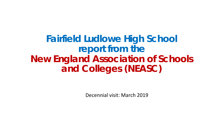**Fairfield Ludlowe High School report from the New England Association of Schools and Colleges (NEASC)**

Decennial visit: March 2019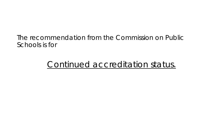### The recommendation from the Commission on Public Schools is for

### Continued accreditation status.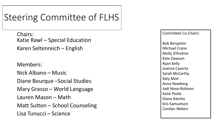## Steering Committee of FLHS

Chairs: Katie Rawl – Special Education Karen Seltenreich – English

Members:

Nick Albano – Music

Diane Bourque –Social Studies

Mary Grasso – World Language

Lauren Mason – Math

Matt Sutton – School Counseling

Lisa Tunucci – Science

Committee Co-Chairs:

Bob Benjamin Michael Crane Molly D'Andrea Kate Dawson Ryan Kelly Joanna Caserta Sarah McCarthy Katy Moir Anna Newberg Jodi Nova-Robison Katie Poole Diana Rainho Kris Samuelson Carolyn Waters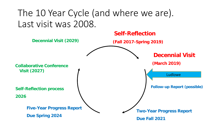# The 10 Year Cycle (and where we are). Last visit was 2008.

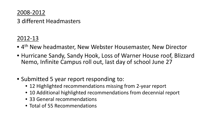### 2008-2012

#### 3 different Headmasters

### 2012-13

- 4th New headmaster, New Webster Housemaster, New Director
- Hurricane Sandy, Sandy Hook, Loss of Warner House roof, Blizzard Nemo, Infinite Campus roll out, last day of school June 27
- Submitted 5 year report responding to:
	- 12 Highlighted recommendations missing from 2-year report
	- 10 Additional highlighted recommendations from decennial report
	- 33 General recommendations
	- Total of 55 Recommendations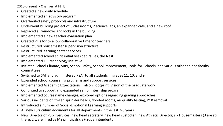2013-present - Changes at FLHS

- Created a new daily schedule
- Implemented an advisory program
- Overhauled safety protocols and infrastructure
- Underwent building project of 6 classrooms, 2 science labs, an expanded café, and a new roof
- Replaced all windows and locks in the building
- Implemented a new teacher evaluation plan
- Created PLTs for to allow collaborative time for teachers
- Restructured housemaster supervision structure
- Restructured learning center services
- Implemented school spirit initiatives (pep rallies, the Nest)
- Implemented 1:1 technology initiative
- Initiated School Climate, SRBI, School Safety, School Improvement, Tools-for-Schools, and various other ad hoc faculty committees
- Switched to SAT and administered PSAT to all students in grades 11, 10, and 9
- Expanded school counseling programs and support services
- Implemented Academic Expectations, Falcon Footprint, Vision of the Graduate work
- Continued to support and expanded senior internship program
- Implemented course name changes, explored options regarding grading approaches
- Various incidents of frozen sprinkler heads, flooded rooms, air quality testing, PCB removal
- Introduced a number of Social-Emotional Learning supports
- All new curriculum documents for all departments in the last 7-8 years
- New Director of Pupil Services, new head secretary, new head custodian, new Athletic Director, six Housemasters (3 are still there, 2 were hired as MS principals), 3+ Superintendents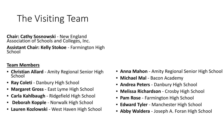# The Visiting Team

**Chair: Cathy Sosnowski** - New England Association of Schools and Colleges, Inc. **Assistant Chair: Kelly Stokoe** - Farmington High School

#### **Team Members**

- **Christian Allard**  Amity Regional Senior High School
- **Ray Coleti** Danbury High School
- **Margaret Gross**  East Lyme High School
- **Carla Kahlbaugh** Ridgefield High School
- **Deborah Kopple**  Norwalk High School
- **Lauren Kozlowski**  West Haven High School
- **Anna Mahon**  Amity Regional Senior High School
- **Michael Mal**  Bacon Academy
- **Andrea Peters**  Danbury High School
- **Melissa Richardson**  Crosby High School
- **Pam Rose**  Farmington High School
- **Edward Tyler**  Manchester High School
- **Abby Waldera** Joseph A. Foran High School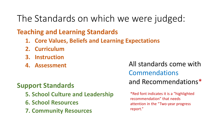## The Standards on which we were judged:

### **Teaching and Learning Standards**

- **1. Core Values, Beliefs and Learning Expectations**
- **2. Curriculum**
- **3. Instruction**
- **4. Assessment**

### Commendations and Recommendations\*

### **Support Standards**

- **5. School Culture and Leadership**
- **6. School Resources**
- **7. Community Resources**

\*Red font indicates it is a "highlighted recommendation" that needs attention in the "Two-year progress report."

All standards come with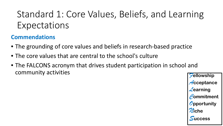# Standard 1: Core Values, Beliefs, and Learning Expectations

### **Commendations**

- The grounding of core values and beliefs in research-based practice
- The core values that are central to the school's culture
- The FALCONS acronym that drives student participation in school and community activities *<sup>F</sup>***ellowship**

*A***cceptance** *L***earning** *C***ommitment** *O***pportunity** *N***iche** *S***uccess**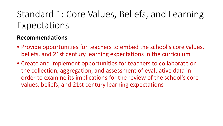# Standard 1: Core Values, Beliefs, and Learning Expectations

- Provide opportunities for teachers to embed the school's core values, beliefs, and 21st century learning expectations in the curriculum
- Create and implement opportunities for teachers to collaborate on the collection, aggregation, and assessment of evaluative data in order to examine its implications for the review of the school's core values, beliefs, and 21st century learning expectations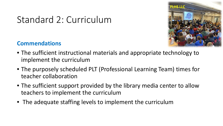

# Standard 2: Curriculum

- The sufficient instructional materials and appropriate technology to implement the curriculum
- The purposely scheduled PLT (Professional Learning Team) times for teacher collaboration
- The sufficient support provided by the library media center to allow teachers to implement the curriculum
- The adequate staffing levels to implement the curriculum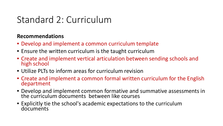## Standard 2: Curriculum

- Develop and implement a common curriculum template
- Ensure the written curriculum is the taught curriculum
- Create and implement vertical articulation between sending schools and high school
- Utilize PLTs to inform areas for curriculum revision
- Create and implement a common formal written curriculum for the English department
- Develop and implement common formative and summative assessments in the curriculum documents between like courses
- Explicitly tie the school's academic expectations to the curriculum documents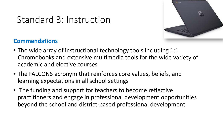

## Standard 3: Instruction

- The wide array of instructional technology tools including 1:1 Chromebooks and extensive multimedia tools for the wide variety of academic and elective courses
- The FALCONS acronym that reinforces core values, beliefs, and learning expectations in all school settings
- The funding and support for teachers to become reflective practitioners and engage in professional development opportunities beyond the school and district-based professional development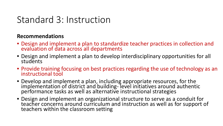### Standard 3: Instruction

- Design and implement a plan to standardize teacher practices in collection and evaluation of data across all departments
- Design and implement a plan to develop interdisciplinary opportunities for all students
- Provide training focusing on best practices regarding the use of technology as an instructional tool
- Develop and implement a plan, including appropriate resources, for the implementation of district and building- level initiatives around authentic performance tasks as well as alternative instructional strategies
- Design and implement an organizational structure to serve as a conduit for teacher concerns around curriculum and instruction as well as for support of teachers within the classroom setting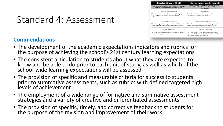| <b>Critical and Creative Thinking</b>                                                                                                           | <b>Communicating and Collaborating</b>                                                                                                                                                  |
|-------------------------------------------------------------------------------------------------------------------------------------------------|-----------------------------------------------------------------------------------------------------------------------------------------------------------------------------------------|
| How do students demonstrate critical and creative thinking to<br>effectively evaluate evidence and construct solutions?                         | How do students communicate information clearly and<br>effectively in a variety of contexts and work collaboratively to<br>solve problems?                                              |
| Exploring and Understanding                                                                                                                     | <b>Conveying Ideas</b>                                                                                                                                                                  |
| The student engages in an investigative process by developing a<br>detailed plan and by using a variety of research tools and<br>methodologies. | The student organizes information to support a claim or assertion in a<br>style appropriate to purpose, audience, and task.                                                             |
| Synthesizing and Evaluating                                                                                                                     | Using Communication (Media) Tools                                                                                                                                                       |
| The student weighs evidence, arguments, claims and beliefs in order to<br>critically and effectively solve problems and to justify conclusions. | The student makes strategic and ethical use of a range of media to<br>enhance understanding of and interest in a claim or assertion.                                                    |
| Creating and Constructing                                                                                                                       | <b>Collaborating Strategically</b>                                                                                                                                                      |
| The student transforms existing ideas and knowledge into original<br>ideas, products, and processes.                                            | The student takes into account prior knowledge, beliefs, and<br>experiences of self and others; roles and relationships within the group;<br>and the group's purpose, goals, and norms. |

### Standard 4: Assessment

- The development of the academic expectations indicators and rubrics for the purpose of achieving the school's 21st century learning expectations
- The consistent articulation to students about what they are expected to know and be able to do prior to each unit of study, as well as which of the school-wide learning expectations will be assessed
- The provision of specific and measurable criteria for success to students prior to summative assessments, such as rubrics with defined targeted high levels of achievement
- The employment of a wide range of formative and summative assessment strategies and a variety of creative and differentiated assessments
- The provision of specific, timely, and corrective feedback to students for the purpose of the revision and improvement of their work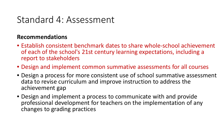### Standard 4: Assessment

- Establish consistent benchmark dates to share whole-school achievement of each of the school's 21st century learning expectations, including a report to stakeholders
- Design and implement common summative assessments for all courses
- Design a process for more consistent use of school summative assessment data to revise curriculum and improve instruction to address the achievement gap
- Design and implement a process to communicate with and provide professional development for teachers on the implementation of any changes to grading practices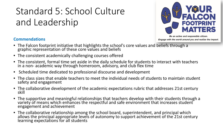# Standard 5: School Culture and Leadership



Be an active and responsible citizen. Engage with the world around you and realize the impact.

- The Falcon footprint initiative that highlights the school's core values and beliefs through a graphic representation of these core values and beliefs
- The consistent academically challenging courses offered
- The consistent, formal time set aside in the daily schedule for students to interact with teachers in a non- academic way through homeroom, advisory, and club flex time
- Scheduled time dedicated to professional discourse and development
- The class sizes that enable teachers to meet the individual needs of students to maintain student safety and engagement
- The collaborative development of the academic expectations rubric that addresses 21st century skill
- The supportive and meaningful relationships that teachers develop with their students through a variety of means which enhances the respectful and safe environment that increases student engagement and achievement
- The collaborative relationship among the school board, superintendent, and principal which <br>allows the principal appropriate levels of autonomy to support achievement of the 21st century learning expectations for all students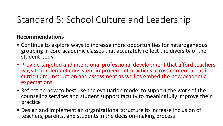## Standard 5: School Culture and Leadership

- Continue to explore ways to increase more opportunities for heterogeneous grouping in core academic classes that accurately reflect the diversity of the student body
- Provide targeted and intentional professional development that afford teachers ways to implement consistent improvement practices across content areas in curriculum, instruction and assessment as well as embed the new academic expectations
- Reflect on how to best use the evaluation model to support the work of the counseling services and student support faculty to meaningfully improve their practice
- Design and implement an organizational structure to increase inclusion of teachers, parents, and students in the decision-making process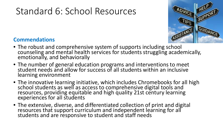# Standard 6: School Resources



- The robust and comprehensive system of supports including school counseling and mental health services for students struggling academically, emotionally, and behaviorally
- The number of general education programs and interventions to meet student needs and allow for success of all students within an inclusive learning environment
- The innovative learning initiative, which includes Chromebooks for all high school students as well as access to comprehensive digital tools and resources, providing equitable and high quality 21st century learning experiences for all students
- The extensive, diverse, and differentiated collection of print and digital resources that support curriculum and independent learning for all students and are responsive to student and staff needs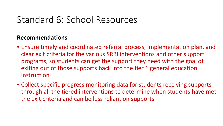### Standard 6: School Resources

- Ensure timely and coordinated referral process, implementation plan, and clear exit criteria for the various SRBI interventions and other support programs, so students can get the support they need with the goal of exiting out of those supports back into the tier 1 general education instruction
- Collect specific progress monitoring data for students receiving supports through all the tiered interventions to determine when students have met the exit criteria and can be less reliant on supports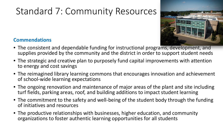# Standard 7: Community Resources



- The consistent and dependable funding for instructional programs, development, and supplies provided by the community and the district in order to support student needs
- The strategic and creative plan to purposely fund capital improvements with attention to energy and cost savings
- The reimagined library learning commons that encourages innovation and achievement of school-wide learning expectations
- The ongoing renovation and maintenance of major areas of the plant and site including turf fields, parking areas, roof, and building additions to impact student learning
- The commitment to the safety and well-being of the student body through the funding of initiatives and resources
- The productive relationships with businesses, higher education, and community organizations to foster authentic learning opportunities for all students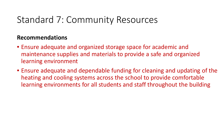## Standard 7: Community Resources

- Ensure adequate and organized storage space for academic and maintenance supplies and materials to provide a safe and organized learning environment
- Ensure adequate and dependable funding for cleaning and updating of the heating and cooling systems across the school to provide comfortable learning environments for all students and staff throughout the building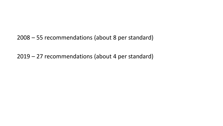2008 – 55 recommendations (about 8 per standard)

2019 – 27 recommendations (about 4 per standard)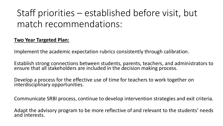# Staff priorities – established before visit, but match recommendations:

#### **Two Year Targeted Plan:**

Implement the academic expectation rubrics consistently through calibration.

Establish strong connections between students, parents, teachers, and administrators to ensure that all stakeholders are included in the decision making process.

Develop a process for the effective use of time for teachers to work together on interdisciplinary opportunities.

Communicate SRBI process, continue to develop intervention strategies and exit criteria.

Adapt the advisory program to be more reflective of and relevant to the students' needs and interests.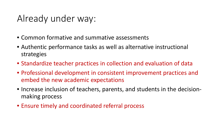## Already under way:

- Common formative and summative assessments
- Authentic performance tasks as well as alternative instructional strategies
- Standardize teacher practices in collection and evaluation of data
- Professional development in consistent improvement practices and embed the new academic expectations
- Increase inclusion of teachers, parents, and students in the decisionmaking process
- Ensure timely and coordinated referral process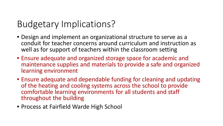### Budgetary Implications?

- Design and implement an organizational structure to serve as a conduit for teacher concerns around curriculum and instruction as well as for support of teachers within the classroom setting
- Ensure adequate and organized storage space for academic and maintenance supplies and materials to provide a safe and organized learning environment
- Ensure adequate and dependable funding for cleaning and updating of the heating and cooling systems across the school to provide comfortable learning environments for all students and staff throughout the building
- Process at Fairfield Warde High School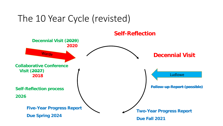## The 10 Year Cycle (revisted)

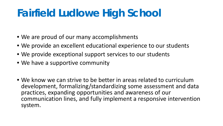# **Fairfield Ludlowe High School**

- We are proud of our many accomplishments
- We provide an excellent educational experience to our students
- We provide exceptional support services to our students
- We have a supportive community
- We know we can strive to be better in areas related to curriculum development, formalizing/standardizing some assessment and data practices, expanding opportunities and awareness of our communication lines, and fully implement a responsive intervention system.